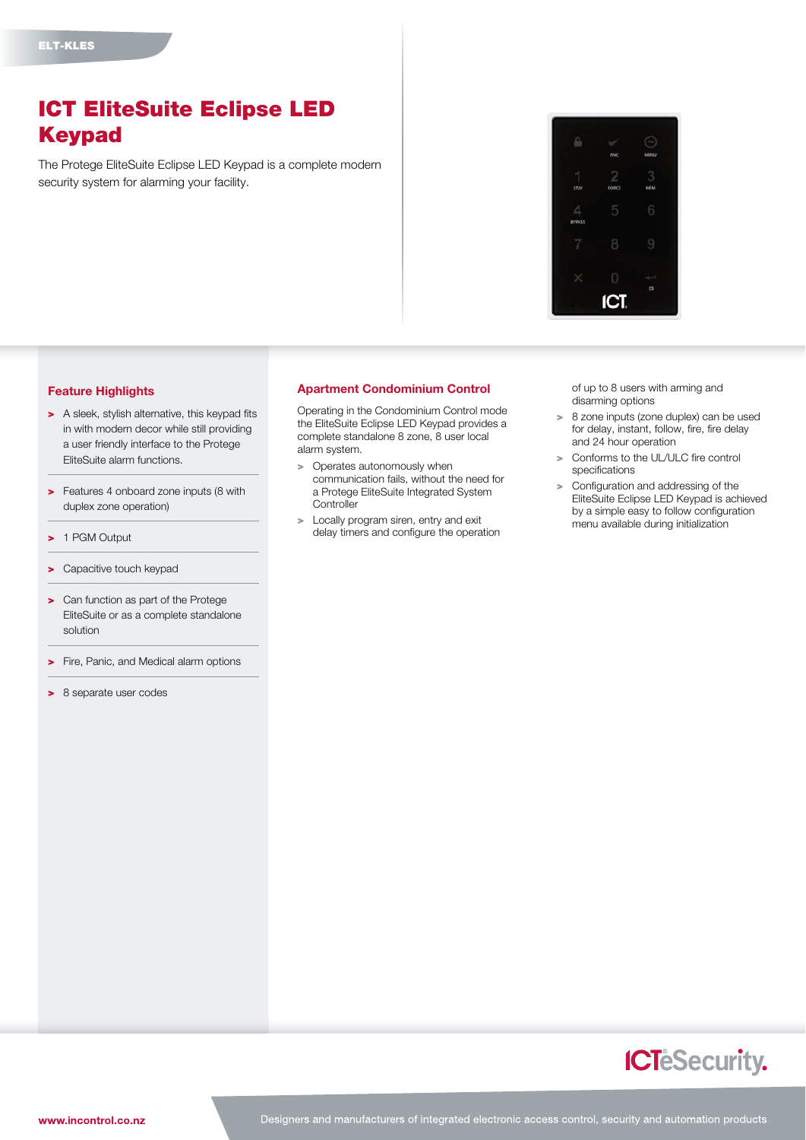## ICT EliteSuite Eclipse LED Keypad

The Protege EliteSuite Eclipse LED Keypad is a complete modern security system for alarming your facility.



## Feature Highlights

- > A sleek, stylish alternative, this keypad fits in with modern decor while still providing a user friendly interface to the Protege EliteSuite alarm functions.
- > Features 4 onboard zone inputs (8 with duplex zone operation)
- > 1 PGM Output
- > Capacitive touch keypad
- > Can function as part of the Protege EliteSuite or as a complete standalone solution
- > Fire, Panic, and Medical alarm options
- > 8 separate user codes

## Apartment Condominium Control

Operating in the Condominium Control mode the EliteSuite Eclipse LED Keypad provides a complete standalone 8 zone, 8 user local alarm system.

- > Operates autonomously when communication fails, without the need for a Protege EliteSuite Integrated System **Controller**
- > Locally program siren, entry and exit delay timers and configure the operation

of up to 8 users with arming and disarming options

- > 8 zone inputs (zone duplex) can be used for delay, instant, follow, fire, fire delay and 24 hour operation
- > Conforms to the UL/ULC fire control specifications
- > Configuration and addressing of the EliteSuite Eclipse LED Keypad is achieved by a simple easy to follow configuration menu available during initialization